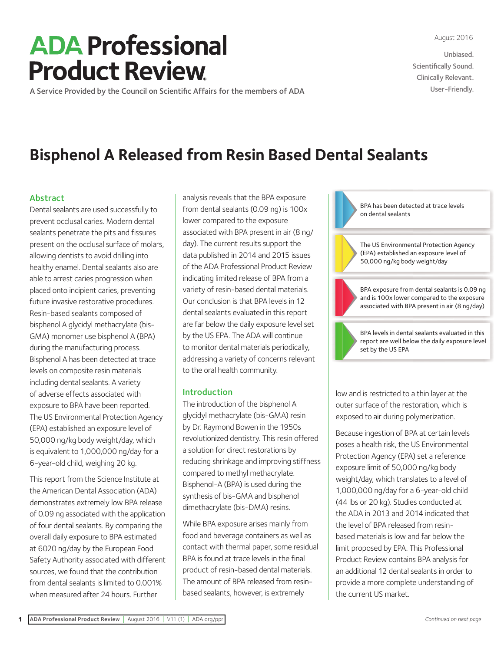August 2016

Unbiased. Scientifically Sound. Clinically Relevant. User-Friendly.

# **ADA Professional Product Review**

A [Service Provided by the Council on Scientific Affairs for the members of ADA](http://www.ada.org/en/publications/ada-professional-product-review-ppr/current-issue)

# **Bisphenol A Released from Resin Based Dental Sealants**

# Abstract

Dental sealants are used successfully to prevent occlusal caries. Modern dental sealants penetrate the pits and fissures present on the occlusal surface of molars, allowing dentists to avoid drilling into healthy enamel. Dental sealants also are able to arrest caries progression when placed onto incipient caries, preventing future invasive restorative procedures. Resin-based sealants composed of bisphenol A glycidyl methacrylate (bis-GMA) monomer use bisphenol A (BPA) during the manufacturing process. Bisphenol A has been detected at trace levels on composite resin materials including dental sealants. A variety of adverse effects associated with exposure to BPA have been reported. The US Environmental Protection Agency (EPA) established an exposure level of 50,000 ng/kg body weight/day, which is equivalent to 1,000,000 ng/day for a 6-year-old child, weighing 20 kg.

This report from the Science Institute at the American Dental Association (ADA) demonstrates extremely low BPA release of 0.09 ng associated with the application of four dental sealants. By comparing the overall daily exposure to BPA estimated at 6020 ng/day by the European Food Safety Authority associated with different sources, we found that the contribution from dental sealants is limited to 0.001% when measured after 24 hours. Further

analysis reveals that the BPA exposure from dental sealants (0.09 ng) is 100x lower compared to the exposure associated with BPA present in air (8 ng/ day). The current results support the data published in 2014 and 2015 issues of the ADA Professional Product Review indicating limited release of BPA from a variety of resin-based dental materials. Our conclusion is that BPA levels in 12 dental sealants evaluated in this report are far below the daily exposure level set by the US EPA. The ADA will continue to monitor dental materials periodically, addressing a variety of concerns relevant to the oral health community.

# Introduction

The introduction of the bisphenol A glycidyl methacrylate (bis-GMA) resin by Dr. Raymond Bowen in the 1950s revolutionized dentistry. This resin offered a solution for direct restorations by reducing shrinkage and improving stiffness compared to methyl methacrylate. Bisphenol-A (BPA) is used during the synthesis of bis-GMA and bisphenol dimethacrylate (bis-DMA) resins.

While BPA exposure arises mainly from food and beverage containers as well as contact with thermal paper, some residual BPA is found at trace levels in the final product of resin-based dental materials. The amount of BPA released from resinbased sealants, however, is extremely



poses a health risk, the US Environmental Protection Agency (EPA) set a reference exposure limit of 50,000 ng/kg body weight/day, which translates to a level of 1,000,000 ng/day for a 6-year-old child (44 lbs or 20 kg). Studies conducted at the ADA in 2013 and 2014 indicated that the level of BPA released from resinbased materials is low and far below the limit proposed by EPA. This Professional Product Review contains BPA analysis for an additional 12 dental sealants in order to provide a more complete understanding of the current US market.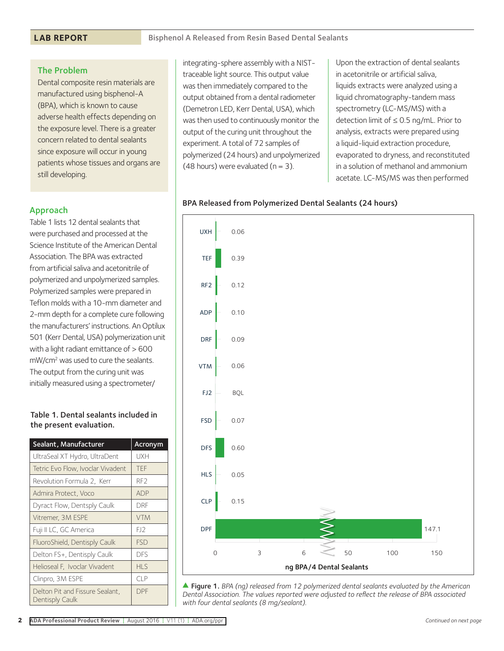# The Problem

Dental composite resin materials are manufactured using bisphenol-A (BPA), which is known to cause adverse health effects depending on the exposure level. There is a greater concern related to dental sealants since exposure will occur in young patients whose tissues and organs are still developing.

# Approach

Table 1 lists 12 dental sealants that were purchased and processed at the Science Institute of the American Dental Association. The BPA was extracted from artificial saliva and acetonitrile of polymerized and unpolymerized samples. Polymerized samples were prepared in Teflon molds with a 10-mm diameter and 2-mm depth for a complete cure following the manufacturers' instructions. An Optilux 501 (Kerr Dental, USA) polymerization unit with a light radiant emittance of > 600 mW/cm2 was used to cure the sealants. The output from the curing unit was initially measured using a spectrometer/

# Table 1. Dental sealants included in the present evaluation.

| Sealant, Manufacturer                              | <b>Acronym</b>  |
|----------------------------------------------------|-----------------|
| UltraSeal XT Hydro, UltraDent                      | UXH             |
| Tetric Evo Flow, Ivoclar Vivadent                  | <b>TFF</b>      |
| Revolution Formula 2, Kerr                         | RF <sub>2</sub> |
| Admira Protect, Voco                               | <b>ADP</b>      |
| Dyract Flow, Dentsply Caulk                        | DRF             |
| Vitremer, 3M ESPE                                  | <b>VTM</b>      |
| Fuji II LC, GC America                             | E12             |
| FluoroShield, Dentisply Caulk                      | <b>FSD</b>      |
| Delton FS+, Dentisply Caulk                        | <b>DES</b>      |
| Helioseal F, Ivoclar Vivadent                      | HIS             |
| Clinpro, 3M ESPE                                   | CIP             |
| Delton Pit and Fissure Sealant,<br>Dentisply Caulk | <b>DPF</b>      |

integrating-sphere assembly with a NISTtraceable light source. This output value was then immediately compared to the output obtained from a dental radiometer (Demetron LED, Kerr Dental, USA), which was then used to continuously monitor the output of the curing unit throughout the experiment. A total of 72 samples of polymerized (24 hours) and unpolymerized (48 hours) were evaluated ( $n = 3$ ).

Upon the extraction of dental sealants in acetonitrile or artificial saliva, liquids extracts were analyzed using a liquid chromatography-tandem mass spectrometry (LC-MS/MS) with a detection limit of ≤ 0.5 ng/mL. Prior to analysis, extracts were prepared using a liquid-liquid extraction procedure, evaporated to dryness, and reconstituted in a solution of methanol and ammonium acetate. LC-MS/MS was then performed

# BPA Released from Polymerized Dental Sealants (24 hours)



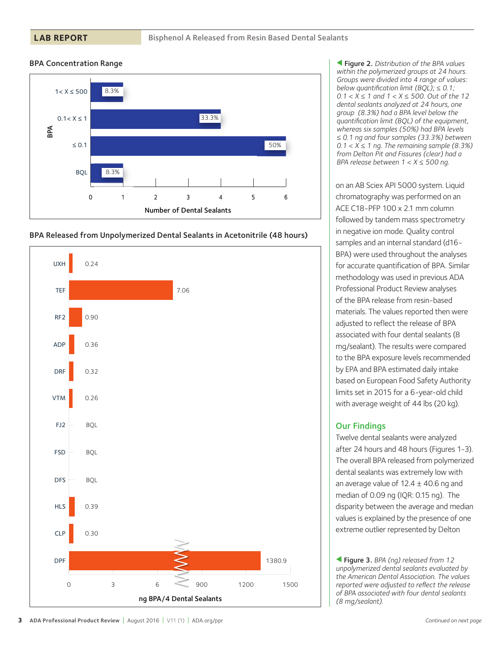#### **LAB REPORT**

#### BPA Concentration Range







s Figure 2. *Distribution of the BPA values within the polymerized groups at 24 hours. Groups were divided into 4 range of values: below quantification limit (BQL); ≤ 0.1; 0.1 < X ≤ 1 and 1 < X ≤ 500. Out of the 12 dental sealants analyzed at 24 hours, one group (8.3%) had a BPA level below the quantification limit (BQL) of the equipment, whereas six samples (50%) had BPA levels ≤ 0.1 ng and four samples (33.3%) between 0.1 < X ≤ 1 ng. The remaining sample (8.3%) from Delton Pit and Fissures (clear) had a BPA release between 1 < X ≤ 500 ng.*

on an AB Sciex API 5000 system. Liquid chromatography was performed on an ACE C18-PFP 100 x 2.1 mm column followed by tandem mass spectrometry in negative ion mode. Quality control samples and an internal standard (d16- BPA) were used throughout the analyses for accurate quantification of BPA. Similar methodology was used in previous ADA Professional Product Review analyses of the BPA release from resin-based materials. The values reported then were adjusted to reflect the release of BPA associated with four dental sealants (8 mg/sealant). The results were compared to the BPA exposure levels recommended by EPA and BPA estimated daily intake based on European Food Safety Authority limits set in 2015 for a 6-year-old child with average weight of 44 lbs (20 kg).

# Our Findings

Twelve dental sealants were analyzed after 24 hours and 48 hours (Figures 1-3). The overall BPA released from polymerized dental sealants was extremely low with an average value of  $12.4 \pm 40.6$  ng and median of 0.09 ng (IQR: 0.15 ng). The disparity between the average and median values is explained by the presence of one extreme outlier represented by Delton

s Figure 3. *BPA (ng) released from 12 unpolymerized dental sealants evaluated by the American Dental Association. The values reported were adjusted to reflect the release of BPA associated with four dental sealants (8 mg/sealant).*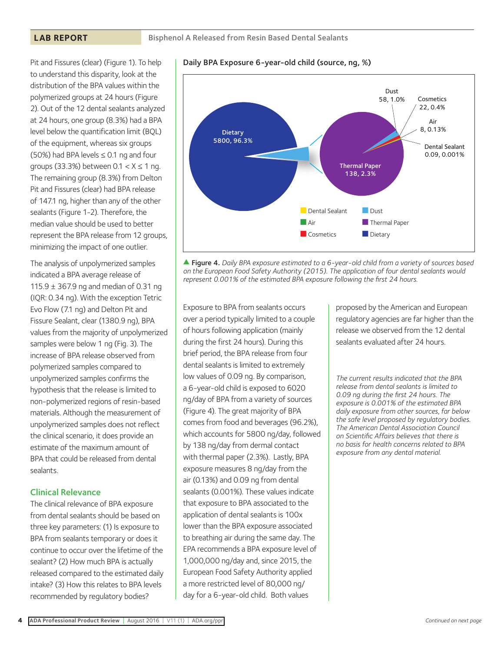#### **LAB REPORT**

Pit and Fissures (clear) (Figure 1). To help to understand this disparity, look at the distribution of the BPA values within the polymerized groups at 24 hours (Figure 2). Out of the 12 dental sealants analyzed at 24 hours, one group (8.3%) had a BPA level below the quantification limit (BQL) of the equipment, whereas six groups (50%) had BPA levels  $\leq$  0.1 ng and four groups (33.3%) between  $0.1 < X \le 1$  ng. The remaining group (8.3%) from Delton Pit and Fissures (clear) had BPA release of 147.1 ng, higher than any of the other sealants (Figure 1-2). Therefore, the median value should be used to better represent the BPA release from 12 groups, minimizing the impact of one outlier.

The analysis of unpolymerized samples indicated a BPA average release of 115.9 ± 367.9 ng and median of 0.31 ng (IQR: 0.34 ng). With the exception Tetric Evo Flow (7.1 ng) and Delton Pit and Fissure Sealant, clear (1380.9 ng), BPA values from the majority of unpolymerized samples were below 1 ng (Fig. 3). The increase of BPA release observed from polymerized samples compared to unpolymerized samples confirms the hypothesis that the release is limited to non-polymerized regions of resin-based materials. Although the measurement of unpolymerized samples does not reflect the clinical scenario, it does provide an estimate of the maximum amount of BPA that could be released from dental sealants.

#### Clinical Relevance

The clinical relevance of BPA exposure from dental sealants should be based on three key parameters: (1) Is exposure to BPA from sealants temporary or does it continue to occur over the lifetime of the sealant? (2) How much BPA is actually released compared to the estimated daily intake? (3) How this relates to BPA levels recommended by regulatory bodies?



s Figure 4. *Daily BPA exposure estimated to a 6-year-old child from a variety of sources based on the European Food Safety Authority (2015). The application of four dental sealants would represent 0.001% of the estimated BPA exposure following the first 24 hours.*

Exposure to BPA from sealants occurs over a period typically limited to a couple of hours following application (mainly during the first 24 hours). During this brief period, the BPA release from four dental sealants is limited to extremely low values of 0.09 ng. By comparison, a 6-year-old child is exposed to 6020 ng/day of BPA from a variety of sources (Figure 4). The great majority of BPA comes from food and beverages (96.2%), which accounts for 5800 ng/day, followed by 138 ng/day from dermal contact with thermal paper (2.3%). Lastly, BPA exposure measures 8 ng/day from the air (0.13%) and 0.09 ng from dental sealants (0.001%). These values indicate that exposure to BPA associated to the application of dental sealants is 100x lower than the BPA exposure associated to breathing air during the same day. The EPA recommends a BPA exposure level of 1,000,000 ng/day and, since 2015, the European Food Safety Authority applied a more restricted level of 80,000 ng/ day for a 6-year-old child. Both values

proposed by the American and European regulatory agencies are far higher than the release we observed from the 12 dental sealants evaluated after 24 hours.

*The current results indicated that the BPA release from dental sealants is limited to 0.09 ng during the first 24 hours. The exposure is 0.001% of the estimated BPA daily exposure from other sources, far below the safe level proposed by regulatory bodies. The American Dental Association Council on Scientific Affairs believes that there is no basis for health concerns related to BPA exposure from any dental material.*

# Daily BPA Exposure 6-year-old child (source, ng, %)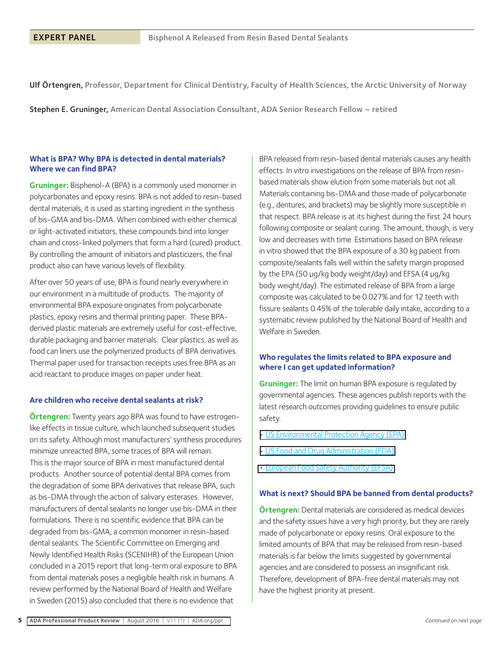Ulf Örtengren, Professor, Department for Clinical Dentistry, Faculty of Health Sciences, the Arctic University of Norway

Stephen E. Gruninger, American Dental Association Consultant, ADA Senior Research Fellow – retired

#### **What is BPA? Why BPA is detected in dental materials? Where we can find BPA?**

**Gruninger:** Bisphenol-A (BPA) is a commonly used monomer in polycarbonates and epoxy resins. BPA is not added to resin-based dental materials, it is used as starting ingredient in the synthesis of bis-GMA and bis-DMA. When combined with either chemical or light-activated initiators, these compounds bind into longer chain and cross-linked polymers that form a hard (cured) product. By controlling the amount of initiators and plasticizers, the final product also can have various levels of flexibility.

After over 50 years of use, BPA is found nearly everywhere in our environment in a multitude of products. The majority of environmental BPA exposure originates from polycarbonate plastics, epoxy resins and thermal printing paper. These BPAderived plastic materials are extremely useful for cost-effective, durable packaging and barrier materials. Clear plastics, as well as food can liners use the polymerized products of BPA derivatives. Thermal paper used for transaction receipts uses free BPA as an acid reactant to produce images on paper under heat.

#### **Are children who receive dental sealants at risk?**

**Örtengren:** Twenty years ago BPA was found to have estrogenlike effects in tissue culture, which launched subsequent studies on its safety. Although most manufacturers' synthesis procedures minimize unreacted BPA, some traces of BPA will remain. This is the major source of BPA in most manufactured dental products. Another source of potential dental BPA comes from the degradation of some BPA derivatives that release BPA, such as bis-DMA through the action of salivary esterases. However, manufacturers of dental sealants no longer use bis-DMA in their formulations. There is no scientific evidence that BPA can be degraded from bis-GMA, a common monomer in resin-based dental sealants. The Scientific Committee on Emerging and Newly Identified Health Risks (SCENIHR) of the European Union concluded in a 2015 report that long-term oral exposure to BPA from dental materials poses a negligible health risk in humans. A review performed by the National Board of Health and Welfare in Sweden (2015) also concluded that there is no evidence that

BPA released from resin-based dental materials causes any health effects. In vitro investigations on the release of BPA from resinbased materials show elution from some materials but not all. Materials containing bis-DMA and those made of polycarbonate (e.g., dentures, and brackets) may be slightly more susceptible in that respect. BPA release is at its highest during the first 24 hours following composite or sealant curing. The amount, though, is very low and decreases with time. Estimations based on BPA release in vitro showed that the BPA exposure of a 30 kg patient from composite/sealants falls well within the safety margin proposed by the EPA (50 µg/kg body weight/day) and EFSA (4 µg/kg body weight/day). The estimated release of BPA from a large composite was calculated to be 0.027% and for 12 teeth with fissure sealants 0.45% of the tolerable daily intake, according to a systematic review published by the National Board of Health and Welfare in Sweden.

#### **Who regulates the limits related to BPA exposure and where I can get updated information?**

**Gruninger:** The limit on human BPA exposure is regulated by governmental agencies. These agencies publish reports with the latest research outcomes providing guidelines to ensure public safety.

- [US Environmental Protection Agency \(EPA\)](https://www.epa.gov/assessing-and-managing-chemicals-under-tsca/bisphenol-bpa-action-plan)
- [US Food and Drug Administration \(FDA\)](http://www.fda.gov/NewsEvents/PublicHealthFocus/ucm064437.htm)
- [European Food Safety Authority \(EFSA\)](https://www.efsa.europa.eu/en/search/site/bpa)

#### **What is next? Should BPA be banned from dental products?**

**Örtengren:** Dental materials are considered as medical devices and the safety issues have a very high priority, but they are rarely made of polycarbonate or epoxy resins. Oral exposure to the limited amounts of BPA that may be released from resin-based materials is far below the limits suggested by governmental agencies and are considered to possess an insignificant risk. Therefore, development of BPA-free dental materials may not have the highest priority at present.